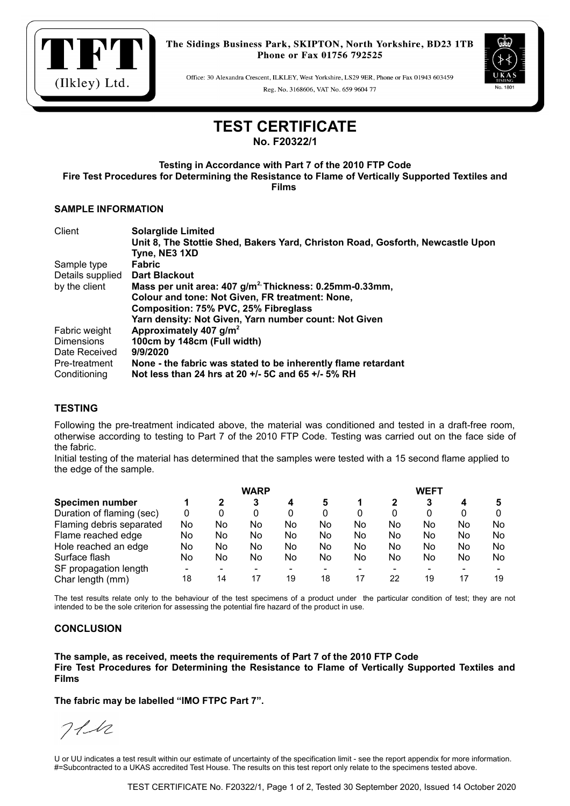

Office: 30 Alexandra Crescent, ILKLEY, West Yorkshire, LS29 9ER, Phone or Fax 01943 603459 Reg. No. 3168606, VAT No. 659 9604 77



## **TEST CERTIFICATE**

**No. F20322/1**

**Testing in Accordance with Part 7 of the 2010 FTP Code Fire Test Procedures for Determining the Resistance to Flame of Vertically Supported Textiles and Films** 

### **SAMPLE INFORMATION**

| Client            | <b>Solarglide Limited</b>                                                      |
|-------------------|--------------------------------------------------------------------------------|
|                   | Unit 8, The Stottie Shed, Bakers Yard, Christon Road, Gosforth, Newcastle Upon |
|                   | Tyne, NE3 1XD                                                                  |
| Sample type       | <b>Fabric</b>                                                                  |
| Details supplied  | <b>Dart Blackout</b>                                                           |
| by the client     | Mass per unit area: 407 g/m <sup>2,</sup> Thickness: 0.25mm-0.33mm,            |
|                   | Colour and tone: Not Given, FR treatment: None,                                |
|                   | Composition: 75% PVC, 25% Fibreglass                                           |
|                   | Yarn density: Not Given, Yarn number count: Not Given                          |
| Fabric weight     | Approximately 407 g/m <sup>2</sup>                                             |
| <b>Dimensions</b> | 100cm by 148cm (Full width)                                                    |
| Date Received     | 9/9/2020                                                                       |
| Pre-treatment     | None - the fabric was stated to be inherently flame retardant                  |
| Conditioning      | Not less than 24 hrs at 20 +/- 5C and 65 +/- 5% RH                             |

## **TESTING**

Following the pre-treatment indicated above, the material was conditioned and tested in a draft-free room, otherwise according to testing to Part 7 of the 2010 FTP Code. Testing was carried out on the face side of the fabric.

Initial testing of the material has determined that the samples were tested with a 15 second flame applied to the edge of the sample.

|                           | <b>WARP</b> |    |     |    |    | WEFT |    |    |    |    |  |
|---------------------------|-------------|----|-----|----|----|------|----|----|----|----|--|
| Specimen number           |             | 2  | 3   | 4  | 5  |      |    | 3  |    |    |  |
| Duration of flaming (sec) | 0           | 0  | 0   |    | 0  | 0    | 0  | 0  |    |    |  |
| Flaming debris separated  | No          | No | No  | No | No | No   | No | No | No | No |  |
| Flame reached edge        | No          | No | No  | No | No | No   | No | No | No | No |  |
| Hole reached an edge      | No          | No | No  | No | No | No   | No | No | No | No |  |
| Surface flash             | No          | No | No. | No | No | No   | No | No | No | No |  |
| SF propagation length     |             | -  |     |    |    | -    |    |    |    |    |  |
| Char length (mm)          | 18          | 14 | 17  | 19 | 18 | 17   | 22 | 19 | 17 | 19 |  |

The test results relate only to the behaviour of the test specimens of a product under the particular condition of test; they are not intended to be the sole criterion for assessing the potential fire hazard of the product in use.

### **CONCLUSION**

**The sample, as received, meets the requirements of Part 7 of the 2010 FTP Code Fire Test Procedures for Determining the Resistance to Flame of Vertically Supported Textiles and Films** 

**The fabric may be labelled "IMO FTPC Part 7".**

 $711$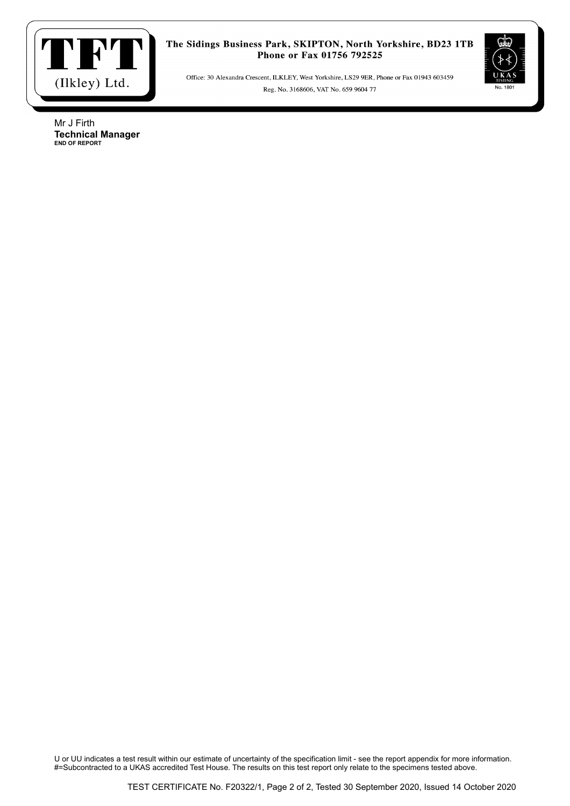

Office: 30 Alexandra Crescent, ILKLEY, West Yorkshire, LS29 9ER, Phone or Fax 01943 603459 Reg. No. 3168606, VAT No. 659 9604 77



Mr J Firth **Technical Manager END OF REPORT**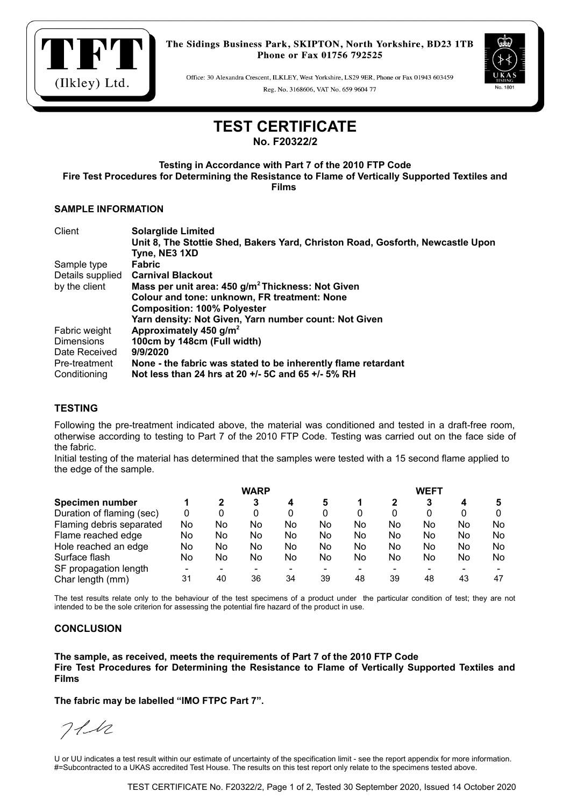

Office: 30 Alexandra Crescent, ILKLEY, West Yorkshire, LS29 9ER, Phone or Fax 01943 603459 Reg. No. 3168606, VAT No. 659 9604 77



# **TEST CERTIFICATE**

**No. F20322/2**

**Testing in Accordance with Part 7 of the 2010 FTP Code Fire Test Procedures for Determining the Resistance to Flame of Vertically Supported Textiles and Films** 

### **SAMPLE INFORMATION**

| Client            | <b>Solarglide Limited</b>                                                      |
|-------------------|--------------------------------------------------------------------------------|
|                   | Unit 8, The Stottie Shed, Bakers Yard, Christon Road, Gosforth, Newcastle Upon |
|                   | Tyne, NE3 1XD                                                                  |
| Sample type       | <b>Fabric</b>                                                                  |
| Details supplied  | <b>Carnival Blackout</b>                                                       |
| by the client     | Mass per unit area: 450 g/m <sup>2</sup> Thickness: Not Given                  |
|                   | Colour and tone: unknown, FR treatment: None                                   |
|                   | <b>Composition: 100% Polyester</b>                                             |
|                   | Yarn density: Not Given, Yarn number count: Not Given                          |
| Fabric weight     | Approximately 450 g/m <sup>2</sup>                                             |
| <b>Dimensions</b> | 100cm by 148cm (Full width)                                                    |
| Date Received     | 9/9/2020                                                                       |
| Pre-treatment     | None - the fabric was stated to be inherently flame retardant                  |
| Conditioning      | Not less than 24 hrs at 20 +/- 5C and 65 +/- 5% RH                             |

## **TESTING**

Following the pre-treatment indicated above, the material was conditioned and tested in a draft-free room, otherwise according to testing to Part 7 of the 2010 FTP Code. Testing was carried out on the face side of the fabric.

Initial testing of the material has determined that the samples were tested with a 15 second flame applied to the edge of the sample.

|                           | <b>WARP</b> |    |    |    |    | <b>WEFT</b> |    |    |    |     |  |
|---------------------------|-------------|----|----|----|----|-------------|----|----|----|-----|--|
| Specimen number           |             | 2  | 3  | 4  | 5  |             |    |    |    |     |  |
| Duration of flaming (sec) | 0           | 0  | 0  |    | 0  |             | 0  |    | 0  |     |  |
| Flaming debris separated  | No          | No | No | No | No | No          | No | No | No | No. |  |
| Flame reached edge        | No          | No | No | No | No | No          | No | No | No | No. |  |
| Hole reached an edge      | No          | No | No | No | No | No          | No | No | No | No. |  |
| Surface flash             | No          | No | No | No | No | No          | No | No | No | No. |  |
| SF propagation length     |             | -  |    |    |    |             |    |    |    |     |  |
| Char length (mm)          | 31          | 40 | 36 | 34 | 39 | 48          | 39 | 48 | 43 | 47  |  |

The test results relate only to the behaviour of the test specimens of a product under the particular condition of test; they are not intended to be the sole criterion for assessing the potential fire hazard of the product in use.

### **CONCLUSION**

**The sample, as received, meets the requirements of Part 7 of the 2010 FTP Code Fire Test Procedures for Determining the Resistance to Flame of Vertically Supported Textiles and Films** 

**The fabric may be labelled "IMO FTPC Part 7".**

 $711$